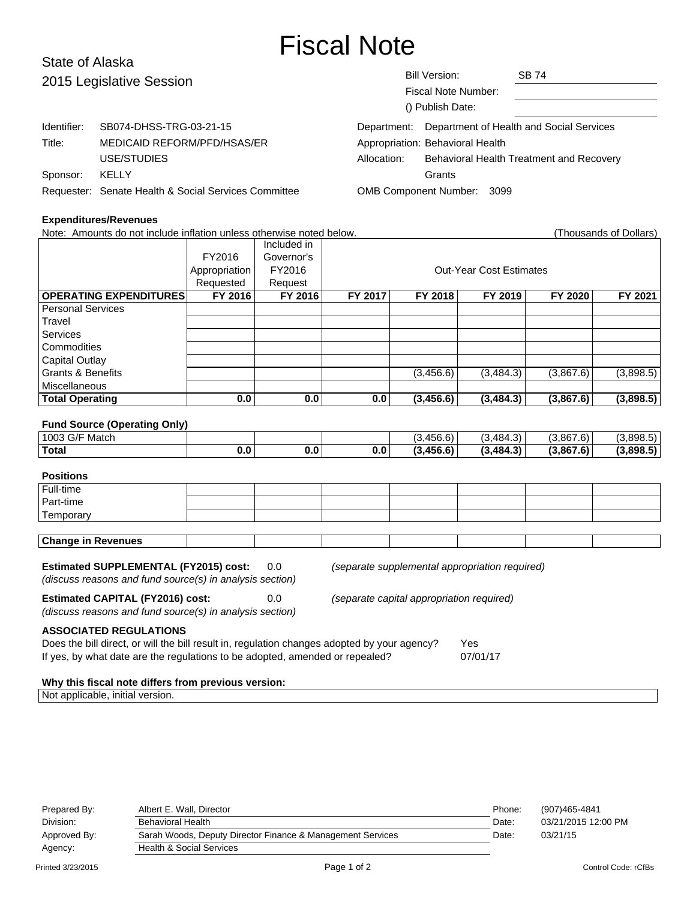# Fiscal Note

#### State of Alaska Bill Version: SB 74 Fiscal Note Number: () Publish Date: 2015 Legislative Session Identifier: SB074-DHSS-TRG-03-21-15 Title: MEDICAID REFORM/PFD/HSAS/ER USE/STUDIES Sponsor: KELLY Requester: Senate Health & Social Services Committee Department: Department of Health and Social Services Appropriation: Behavioral Health Allocation: Behavioral Health Treatment and Recovery **Grants** OMB Component Number: 3099

## **Expenditures/Revenues**

| Note: Amounts do not include inflation unless otherwise noted below.                                       |               |             |         |                                |                                                |           | (Thousands of Dollars) |  |  |
|------------------------------------------------------------------------------------------------------------|---------------|-------------|---------|--------------------------------|------------------------------------------------|-----------|------------------------|--|--|
|                                                                                                            |               | Included in |         |                                |                                                |           |                        |  |  |
|                                                                                                            | FY2016        | Governor's  |         |                                |                                                |           |                        |  |  |
|                                                                                                            | Appropriation | FY2016      |         | <b>Out-Year Cost Estimates</b> |                                                |           |                        |  |  |
|                                                                                                            | Requested     | Request     |         |                                |                                                |           |                        |  |  |
| <b>OPERATING EXPENDITURES</b>                                                                              | FY 2016       | FY 2016     | FY 2017 | FY 2018                        | FY 2019                                        | FY 2020   | FY 2021                |  |  |
| <b>Personal Services</b>                                                                                   |               |             |         |                                |                                                |           |                        |  |  |
| Travel                                                                                                     |               |             |         |                                |                                                |           |                        |  |  |
| <b>Services</b>                                                                                            |               |             |         |                                |                                                |           |                        |  |  |
| Commodities                                                                                                |               |             |         |                                |                                                |           |                        |  |  |
| <b>Capital Outlay</b>                                                                                      |               |             |         |                                |                                                |           |                        |  |  |
| <b>Grants &amp; Benefits</b>                                                                               |               |             |         | (3,456.6)                      | (3, 484.3)                                     | (3,867.6) | (3,898.5)              |  |  |
| Miscellaneous                                                                                              |               |             |         |                                |                                                |           |                        |  |  |
| <b>Total Operating</b>                                                                                     | 0.0           | 0.0         | 0.0     | (3, 456.6)                     | (3, 484.3)                                     | (3,867.6) | (3,898.5)              |  |  |
|                                                                                                            |               |             |         |                                |                                                |           |                        |  |  |
| <b>Fund Source (Operating Only)</b>                                                                        |               |             |         |                                |                                                |           |                        |  |  |
| 1003 G/F Match                                                                                             |               |             |         | (3,456.6)                      | (3,484.3)                                      | (3,867.6) | (3,898.5)              |  |  |
| <b>Total</b>                                                                                               | 0.0           | 0.0         | 0.0     | (3,456.6)                      | (3, 484.3)                                     | (3,867.6) | (3,898.5)              |  |  |
|                                                                                                            |               |             |         |                                |                                                |           |                        |  |  |
| <b>Positions</b>                                                                                           |               |             |         |                                |                                                |           |                        |  |  |
| Full-time                                                                                                  |               |             |         |                                |                                                |           |                        |  |  |
| Part-time                                                                                                  |               |             |         |                                |                                                |           |                        |  |  |
| Temporary                                                                                                  |               |             |         |                                |                                                |           |                        |  |  |
|                                                                                                            |               |             |         |                                |                                                |           |                        |  |  |
| <b>Change in Revenues</b>                                                                                  |               |             |         |                                |                                                |           |                        |  |  |
|                                                                                                            |               |             |         |                                |                                                |           |                        |  |  |
| <b>Estimated SUPPLEMENTAL (FY2015) cost:</b>                                                               |               | 0.0         |         |                                | (separate supplemental appropriation required) |           |                        |  |  |
| (discuss reasons and fund source(s) in analysis section)                                                   |               |             |         |                                |                                                |           |                        |  |  |
| <b>Estimated CAPITAL (FY2016) cost:</b><br>0.0<br>(separate capital appropriation required)                |               |             |         |                                |                                                |           |                        |  |  |
| (discuss reasons and fund source(s) in analysis section)                                                   |               |             |         |                                |                                                |           |                        |  |  |
|                                                                                                            |               |             |         |                                |                                                |           |                        |  |  |
| <b>ASSOCIATED REGULATIONS</b>                                                                              |               |             |         |                                |                                                |           |                        |  |  |
| Does the bill direct, or will the bill result in, regulation changes adopted by your agency?<br><b>Yes</b> |               |             |         |                                |                                                |           |                        |  |  |
| If yes, by what date are the regulations to be adopted, amended or repealed?<br>07/01/17                   |               |             |         |                                |                                                |           |                        |  |  |
|                                                                                                            |               |             |         |                                |                                                |           |                        |  |  |
| Why this fiscal note differs from previous version:                                                        |               |             |         |                                |                                                |           |                        |  |  |
| Not applicable, initial version.                                                                           |               |             |         |                                |                                                |           |                        |  |  |

| Prepared By: | Albert E. Wall. Director                                   | Phone: | (907)465-4841       |
|--------------|------------------------------------------------------------|--------|---------------------|
| Division:    | <b>Behavioral Health</b>                                   |        | 03/21/2015 12:00 PM |
| Approved By: | Sarah Woods, Deputy Director Finance & Management Services | Date:  | 03/21/15            |
| Agency:      | <b>Health &amp; Social Services</b>                        |        |                     |
|              |                                                            |        |                     |